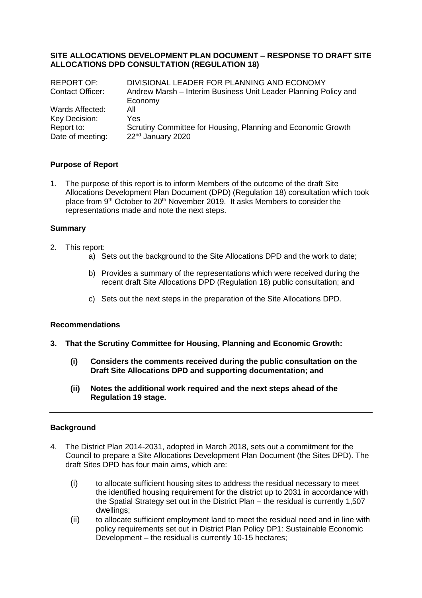#### **SITE ALLOCATIONS DEVELOPMENT PLAN DOCUMENT – RESPONSE TO DRAFT SITE ALLOCATIONS DPD CONSULTATION (REGULATION 18)**

| <b>REPORT OF:</b>       | DIVISIONAL LEADER FOR PLANNING AND ECONOMY                      |
|-------------------------|-----------------------------------------------------------------|
| <b>Contact Officer:</b> | Andrew Marsh – Interim Business Unit Leader Planning Policy and |
|                         | Economy                                                         |
| Wards Affected:         | All                                                             |
| Key Decision:           | Yes                                                             |
| Report to:              | Scrutiny Committee for Housing, Planning and Economic Growth    |
| Date of meeting:        | 22 <sup>nd</sup> January 2020                                   |

## **Purpose of Report**

1. The purpose of this report is to inform Members of the outcome of the draft Site Allocations Development Plan Document (DPD) (Regulation 18) consultation which took place from 9<sup>th</sup> October to 20<sup>th</sup> November 2019. It asks Members to consider the representations made and note the next steps.

#### **Summary**

- 2. This report:
	- a) Sets out the background to the Site Allocations DPD and the work to date;
	- b) Provides a summary of the representations which were received during the recent draft Site Allocations DPD (Regulation 18) public consultation; and
	- c) Sets out the next steps in the preparation of the Site Allocations DPD.

#### **Recommendations**

- **3. That the Scrutiny Committee for Housing, Planning and Economic Growth:**
	- **(i) Considers the comments received during the public consultation on the Draft Site Allocations DPD and supporting documentation; and**
	- **(ii) Notes the additional work required and the next steps ahead of the Regulation 19 stage.**

#### **Background**

- 4. The District Plan 2014-2031, adopted in March 2018, sets out a commitment for the Council to prepare a Site Allocations Development Plan Document (the Sites DPD). The draft Sites DPD has four main aims, which are:
	- (i) to allocate sufficient housing sites to address the residual necessary to meet the identified housing requirement for the district up to 2031 in accordance with the Spatial Strategy set out in the District Plan – the residual is currently 1,507 dwellings;
	- (ii) to allocate sufficient employment land to meet the residual need and in line with policy requirements set out in District Plan Policy DP1: Sustainable Economic Development – the residual is currently 10-15 hectares;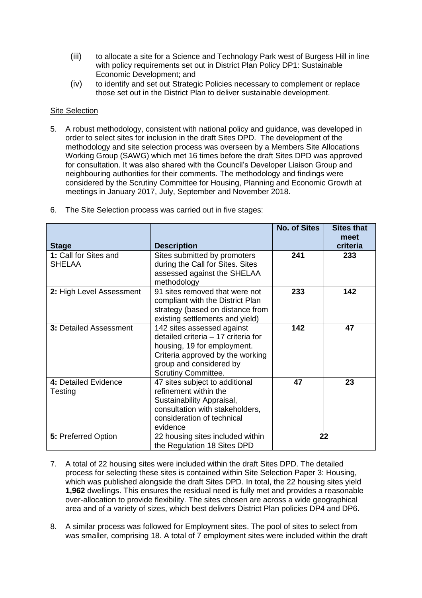- (iii) to allocate a site for a Science and Technology Park west of Burgess Hill in line with policy requirements set out in District Plan Policy DP1: Sustainable Economic Development; and
- (iv) to identify and set out Strategic Policies necessary to complement or replace those set out in the District Plan to deliver sustainable development.

# Site Selection

5. A robust methodology, consistent with national policy and guidance, was developed in order to select sites for inclusion in the draft Sites DPD. The development of the methodology and site selection process was overseen by a Members Site Allocations Working Group (SAWG) which met 16 times before the draft Sites DPD was approved for consultation. It was also shared with the Council's Developer Liaison Group and neighbouring authorities for their comments. The methodology and findings were considered by the Scrutiny Committee for Housing, Planning and Economic Growth at meetings in January 2017, July, September and November 2018.

| <b>Stage</b>                           | <b>Description</b>                                                                                                                                                                            | <b>No. of Sites</b> | <b>Sites that</b><br>meet<br>criteria |
|----------------------------------------|-----------------------------------------------------------------------------------------------------------------------------------------------------------------------------------------------|---------------------|---------------------------------------|
| 1: Call for Sites and<br><b>SHELAA</b> | Sites submitted by promoters<br>during the Call for Sites. Sites<br>assessed against the SHELAA<br>methodology                                                                                | 241                 | 233                                   |
| 2: High Level Assessment               | 91 sites removed that were not<br>compliant with the District Plan<br>strategy (based on distance from<br>existing settlements and yield)                                                     | 233                 | 142                                   |
| 3: Detailed Assessment                 | 142 sites assessed against<br>detailed criteria - 17 criteria for<br>housing, 19 for employment.<br>Criteria approved by the working<br>group and considered by<br><b>Scrutiny Committee.</b> | 142                 | 47                                    |
| 4: Detailed Evidence<br>Testing        | 47 sites subject to additional<br>refinement within the<br>Sustainability Appraisal,<br>consultation with stakeholders,<br>consideration of technical<br>evidence                             | 47                  | 23                                    |
| 5: Preferred Option                    | 22 housing sites included within<br>the Regulation 18 Sites DPD                                                                                                                               | 22                  |                                       |

6. The Site Selection process was carried out in five stages:

- 7. A total of 22 housing sites were included within the draft Sites DPD. The detailed process for selecting these sites is contained within Site Selection Paper 3: Housing, which was published alongside the draft Sites DPD. In total, the 22 housing sites yield **1,962** dwellings. This ensures the residual need is fully met and provides a reasonable over-allocation to provide flexibility. The sites chosen are across a wide geographical area and of a variety of sizes, which best delivers District Plan policies DP4 and DP6.
- 8. A similar process was followed for Employment sites. The pool of sites to select from was smaller, comprising 18. A total of 7 employment sites were included within the draft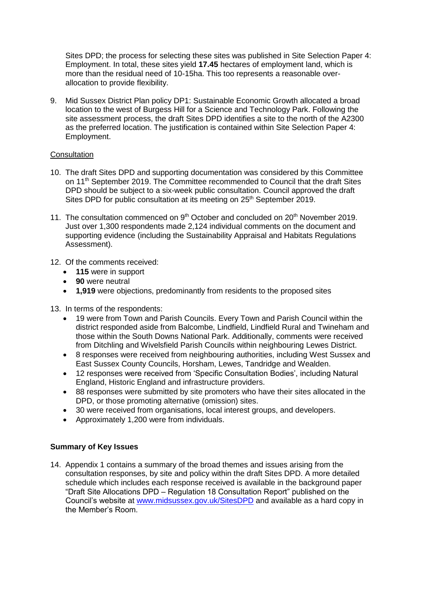Sites DPD; the process for selecting these sites was published in Site Selection Paper 4: Employment. In total, these sites yield **17.45** hectares of employment land, which is more than the residual need of 10-15ha. This too represents a reasonable overallocation to provide flexibility.

9. Mid Sussex District Plan policy DP1: Sustainable Economic Growth allocated a broad location to the west of Burgess Hill for a Science and Technology Park. Following the site assessment process, the draft Sites DPD identifies a site to the north of the A2300 as the preferred location. The justification is contained within Site Selection Paper 4: Employment.

# **Consultation**

- 10. The draft Sites DPD and supporting documentation was considered by this Committee on 11th September 2019. The Committee recommended to Council that the draft Sites DPD should be subject to a six-week public consultation. Council approved the draft Sites DPD for public consultation at its meeting on 25<sup>th</sup> September 2019.
- 11. The consultation commenced on  $9<sup>th</sup>$  October and concluded on  $20<sup>th</sup>$  November 2019. Just over 1,300 respondents made 2,124 individual comments on the document and supporting evidence (including the Sustainability Appraisal and Habitats Regulations Assessment).
- 12. Of the comments received:
	- **115** were in support
	- **90** were neutral
	- **1,919** were objections, predominantly from residents to the proposed sites
- 13. In terms of the respondents:
	- 19 were from Town and Parish Councils. Every Town and Parish Council within the district responded aside from Balcombe, Lindfield, Lindfield Rural and Twineham and those within the South Downs National Park. Additionally, comments were received from Ditchling and Wivelsfield Parish Councils within neighbouring Lewes District.
	- 8 responses were received from neighbouring authorities, including West Sussex and East Sussex County Councils, Horsham, Lewes, Tandridge and Wealden.
	- 12 responses were received from 'Specific Consultation Bodies', including Natural England, Historic England and infrastructure providers.
	- 88 responses were submitted by site promoters who have their sites allocated in the DPD, or those promoting alternative (omission) sites.
	- 30 were received from organisations, local interest groups, and developers.
	- Approximately 1,200 were from individuals.

## **Summary of Key Issues**

14. Appendix 1 contains a summary of the broad themes and issues arising from the consultation responses, by site and policy within the draft Sites DPD. A more detailed schedule which includes each response received is available in the background paper "Draft Site Allocations DPD – Regulation 18 Consultation Report" published on the Council's website at [www.midsussex.gov.uk/SitesDPD](http://www.midsussex.gov.uk/SitesDPD) and available as a hard copy in the Member's Room.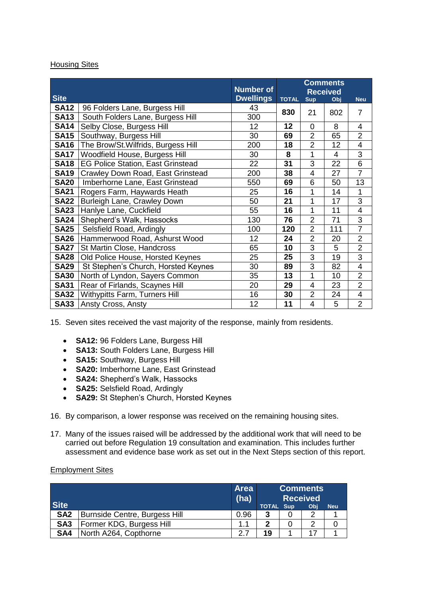## **Housing Sites**

| <b>Site</b> |                                          | <b>Number of</b><br><b>Dwellings</b> | <b>Comments</b><br><b>Received</b><br><b>TOTAL</b><br><b>Sup</b><br>Obj |                |     | <b>Neu</b>              |
|-------------|------------------------------------------|--------------------------------------|-------------------------------------------------------------------------|----------------|-----|-------------------------|
| <b>SA12</b> | 96 Folders Lane, Burgess Hill            | 43                                   |                                                                         |                |     |                         |
| <b>SA13</b> | South Folders Lane, Burgess Hill         | 300                                  | 830                                                                     | 21             | 802 | $\overline{7}$          |
| <b>SA14</b> | Selby Close, Burgess Hill                | 12                                   | 12                                                                      | $\overline{0}$ | 8   | 4                       |
| <b>SA15</b> | Southway, Burgess Hill                   | 30                                   | 69                                                                      | $\overline{2}$ | 65  | $\overline{2}$          |
| <b>SA16</b> | The Brow/St.Wilfrids, Burgess Hill       | 200                                  | 18                                                                      | $\overline{2}$ | 12  | 4                       |
| <b>SA17</b> | Woodfield House, Burgess Hill            | 30                                   | 8                                                                       | 1              | 4   | 3                       |
| <b>SA18</b> | <b>EG Police Station, East Grinstead</b> | 22                                   | 31                                                                      | 3              | 22  | $\overline{6}$          |
| <b>SA19</b> | Crawley Down Road, East Grinstead        | 200                                  | 38                                                                      | 4              | 27  | $\overline{7}$          |
| <b>SA20</b> | Imberhorne Lane, East Grinstead          | 550                                  | 69                                                                      | 6              | 50  | 13                      |
| <b>SA21</b> | Rogers Farm, Haywards Heath              | 25                                   | 16                                                                      | 1              | 14  | 1                       |
| <b>SA22</b> | Burleigh Lane, Crawley Down              | 50                                   | 21                                                                      | 1              | 17  | 3                       |
| <b>SA23</b> | Hanlye Lane, Cuckfield                   | 55                                   | 16                                                                      | 1              | 11  | 4                       |
| <b>SA24</b> | Shepherd's Walk, Hassocks                | 130                                  | 76                                                                      | $\overline{2}$ | 71  | 3                       |
| <b>SA25</b> | Selsfield Road, Ardingly                 | 100                                  | 120                                                                     | $\overline{2}$ | 111 | $\overline{7}$          |
| <b>SA26</b> | Hammerwood Road, Ashurst Wood            | 12                                   | 24                                                                      | $\overline{2}$ | 20  | $\overline{2}$          |
| <b>SA27</b> | St Martin Close, Handcross               | 65                                   | 10                                                                      | 3              | 5   | $\overline{2}$          |
| <b>SA28</b> | Old Police House, Horsted Keynes         | 25                                   | 25                                                                      | 3              | 19  | $\overline{3}$          |
| <b>SA29</b> | St Stephen's Church, Horsted Keynes      | 30                                   | 89                                                                      | 3              | 82  | 4                       |
| <b>SA30</b> | North of Lyndon, Sayers Common           | 35                                   | 13                                                                      | 1              | 10  | $\overline{2}$          |
| <b>SA31</b> | Rear of Firlands, Scaynes Hill           | 20                                   | 29                                                                      | 4              | 23  | $\overline{2}$          |
| <b>SA32</b> | <b>Withypitts Farm, Turners Hill</b>     | 16                                   | 30                                                                      | $\overline{2}$ | 24  | $\overline{\mathbf{4}}$ |
| <b>SA33</b> | Ansty Cross, Ansty                       | 12                                   | 11                                                                      | 4              | 5   | $\overline{2}$          |

15. Seven sites received the vast majority of the response, mainly from residents.

- **SA12:** 96 Folders Lane, Burgess Hill
- **SA13:** South Folders Lane, Burgess Hill
- **SA15:** Southway, Burgess Hill
- **SA20:** Imberhorne Lane, East Grinstead
- **SA24:** Shepherd's Walk, Hassocks
- **SA25:** Selsfield Road, Ardingly
- **SA29:** St Stephen's Church, Horsted Keynes
- 16. By comparison, a lower response was received on the remaining housing sites.
- 17. Many of the issues raised will be addressed by the additional work that will need to be carried out before Regulation 19 consultation and examination. This includes further assessment and evidence base work as set out in the Next Steps section of this report.

#### **Employment Sites**

|                 |                               | <b>Area</b><br>(ha) | <b>Comments</b><br><b>Received</b> |            |     |            |
|-----------------|-------------------------------|---------------------|------------------------------------|------------|-----|------------|
| <b>Site</b>     |                               |                     | <b>TOTAL</b>                       | <b>Sup</b> | Obi | <b>Neu</b> |
| SA <sub>2</sub> | Burnside Centre, Burgess Hill | 0.96                | 3                                  |            | ႒   |            |
| SA <sub>3</sub> | Former KDG, Burgess Hill      |                     | 2                                  |            | ႒   |            |
| SA4             | North A264, Copthorne         | 27                  | 19                                 |            |     |            |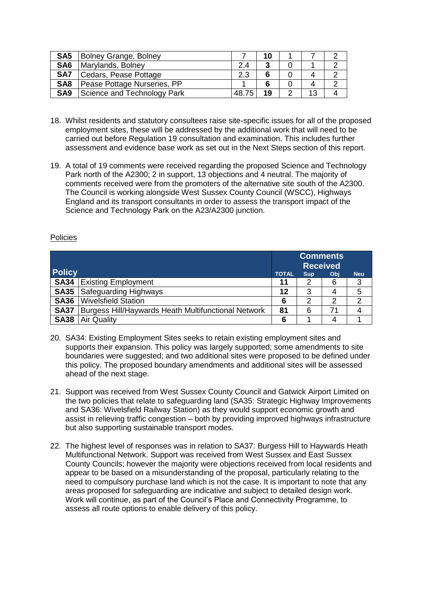| SA <sub>5</sub> | Bolney Grange, Bolney       |       | 10 |        |    |  |
|-----------------|-----------------------------|-------|----|--------|----|--|
| SA <sub>6</sub> | Marylands, Bolney           | 2.4   | າ  |        |    |  |
| SA7             | Cedars, Pease Pottage       | 2.3   | 6  |        |    |  |
| SA <sub>8</sub> | Pease Pottage Nurseries, PP |       |    |        |    |  |
| SA <sub>9</sub> | Science and Technology Park | 48.75 | 19 | $\sim$ | 13 |  |

- 18. Whilst residents and statutory consultees raise site-specific issues for all of the proposed employment sites, these will be addressed by the additional work that will need to be carried out before Regulation 19 consultation and examination. This includes further assessment and evidence base work as set out in the Next Steps section of this report.
- 19. A total of 19 comments were received regarding the proposed Science and Technology Park north of the A2300; 2 in support, 13 objections and 4 neutral. The majority of comments received were from the promoters of the alternative site south of the A2300. The Council is working alongside West Sussex County Council (WSCC), Highways England and its transport consultants in order to assess the transport impact of the Science and Technology Park on the A23/A2300 junction.

## Policies

|               |                                                     | <b>Comments</b><br><b>Received</b>              |   |    |   |  |
|---------------|-----------------------------------------------------|-------------------------------------------------|---|----|---|--|
| <b>Policy</b> |                                                     | <b>TOTAL</b><br><b>Neu</b><br><b>Sup</b><br>Obj |   |    |   |  |
| <b>SA34</b>   | <b>Existing Employment</b>                          | 11                                              | 2 | 6  | 3 |  |
| <b>SA35</b>   | <b>Safeguarding Highways</b>                        | 12                                              | 3 | 4  | 5 |  |
| <b>SA36</b>   | <b>Wivelsfield Station</b>                          | 6                                               |   | 2  | 2 |  |
| <b>SA37</b>   | Burgess Hill/Haywards Heath Multifunctional Network | 81                                              | 6 | 71 | 4 |  |
| <b>SA38</b>   | <b>Air Quality</b>                                  | 6                                               |   | 4  |   |  |

- 20. SA34: Existing Employment Sites seeks to retain existing employment sites and supports their expansion. This policy was largely supported; some amendments to site boundaries were suggested; and two additional sites were proposed to be defined under this policy. The proposed boundary amendments and additional sites will be assessed ahead of the next stage.
- 21. Support was received from West Sussex County Council and Gatwick Airport Limited on the two policies that relate to safeguarding land (SA35: Strategic Highway Improvements and SA36: Wivelsfield Railway Station) as they would support economic growth and assist in relieving traffic congestion – both by providing improved highways infrastructure but also supporting sustainable transport modes.
- 22. The highest level of responses was in relation to SA37: Burgess Hill to Haywards Heath Multifunctional Network. Support was received from West Sussex and East Sussex County Councils; however the majority were objections received from local residents and appear to be based on a misunderstanding of the proposal, particularly relating to the need to compulsory purchase land which is not the case. It is important to note that any areas proposed for safeguarding are indicative and subject to detailed design work. Work will continue, as part of the Council's Place and Connectivity Programme, to assess all route options to enable delivery of this policy.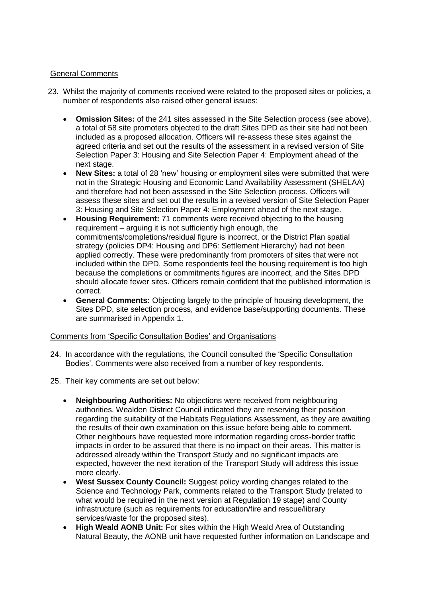# General Comments

- 23. Whilst the majority of comments received were related to the proposed sites or policies, a number of respondents also raised other general issues:
	- **Omission Sites:** of the 241 sites assessed in the Site Selection process (see above), a total of 58 site promoters objected to the draft Sites DPD as their site had not been included as a proposed allocation. Officers will re-assess these sites against the agreed criteria and set out the results of the assessment in a revised version of Site Selection Paper 3: Housing and Site Selection Paper 4: Employment ahead of the next stage.
	- **New Sites:** a total of 28 'new' housing or employment sites were submitted that were not in the Strategic Housing and Economic Land Availability Assessment (SHELAA) and therefore had not been assessed in the Site Selection process. Officers will assess these sites and set out the results in a revised version of Site Selection Paper 3: Housing and Site Selection Paper 4: Employment ahead of the next stage.
	- **Housing Requirement:** 71 comments were received objecting to the housing requirement – arguing it is not sufficiently high enough, the commitments/completions/residual figure is incorrect, or the District Plan spatial strategy (policies DP4: Housing and DP6: Settlement Hierarchy) had not been applied correctly. These were predominantly from promoters of sites that were not included within the DPD. Some respondents feel the housing requirement is too high because the completions or commitments figures are incorrect, and the Sites DPD should allocate fewer sites. Officers remain confident that the published information is correct.
	- **General Comments:** Objecting largely to the principle of housing development, the Sites DPD, site selection process, and evidence base/supporting documents. These are summarised in Appendix 1.

## Comments from 'Specific Consultation Bodies' and Organisations

- 24. In accordance with the regulations, the Council consulted the 'Specific Consultation Bodies'. Comments were also received from a number of key respondents.
- 25. Their key comments are set out below:
	- **Neighbouring Authorities:** No objections were received from neighbouring authorities. Wealden District Council indicated they are reserving their position regarding the suitability of the Habitats Regulations Assessment, as they are awaiting the results of their own examination on this issue before being able to comment. Other neighbours have requested more information regarding cross-border traffic impacts in order to be assured that there is no impact on their areas. This matter is addressed already within the Transport Study and no significant impacts are expected, however the next iteration of the Transport Study will address this issue more clearly.
	- **West Sussex County Council:** Suggest policy wording changes related to the Science and Technology Park, comments related to the Transport Study (related to what would be required in the next version at Regulation 19 stage) and County infrastructure (such as requirements for education/fire and rescue/library services/waste for the proposed sites).
	- **High Weald AONB Unit:** For sites within the High Weald Area of Outstanding Natural Beauty, the AONB unit have requested further information on Landscape and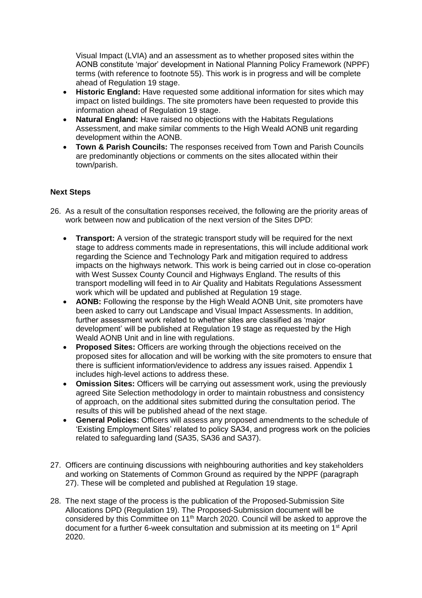Visual Impact (LVIA) and an assessment as to whether proposed sites within the AONB constitute 'major' development in National Planning Policy Framework (NPPF) terms (with reference to footnote 55). This work is in progress and will be complete ahead of Regulation 19 stage.

- **Historic England:** Have requested some additional information for sites which may impact on listed buildings. The site promoters have been requested to provide this information ahead of Regulation 19 stage.
- **Natural England:** Have raised no objections with the Habitats Regulations Assessment, and make similar comments to the High Weald AONB unit regarding development within the AONB.
- **Town & Parish Councils:** The responses received from Town and Parish Councils are predominantly objections or comments on the sites allocated within their town/parish.

## **Next Steps**

- 26. As a result of the consultation responses received, the following are the priority areas of work between now and publication of the next version of the Sites DPD:
	- **Transport:** A version of the strategic transport study will be required for the next stage to address comments made in representations, this will include additional work regarding the Science and Technology Park and mitigation required to address impacts on the highways network. This work is being carried out in close co-operation with West Sussex County Council and Highways England. The results of this transport modelling will feed in to Air Quality and Habitats Regulations Assessment work which will be updated and published at Regulation 19 stage.
	- **AONB:** Following the response by the High Weald AONB Unit, site promoters have been asked to carry out Landscape and Visual Impact Assessments. In addition, further assessment work related to whether sites are classified as 'major development' will be published at Regulation 19 stage as requested by the High Weald AONB Unit and in line with regulations.
	- **Proposed Sites:** Officers are working through the objections received on the proposed sites for allocation and will be working with the site promoters to ensure that there is sufficient information/evidence to address any issues raised. Appendix 1 includes high-level actions to address these.
	- **Omission Sites:** Officers will be carrying out assessment work, using the previously agreed Site Selection methodology in order to maintain robustness and consistency of approach, on the additional sites submitted during the consultation period. The results of this will be published ahead of the next stage.
	- **General Policies:** Officers will assess any proposed amendments to the schedule of 'Existing Employment Sites' related to policy SA34, and progress work on the policies related to safeguarding land (SA35, SA36 and SA37).
- 27. Officers are continuing discussions with neighbouring authorities and key stakeholders and working on Statements of Common Ground as required by the NPPF (paragraph 27). These will be completed and published at Regulation 19 stage.
- 28. The next stage of the process is the publication of the Proposed-Submission Site Allocations DPD (Regulation 19). The Proposed-Submission document will be considered by this Committee on 11<sup>th</sup> March 2020. Council will be asked to approve the document for a further 6-week consultation and submission at its meeting on 1<sup>st</sup> April 2020.